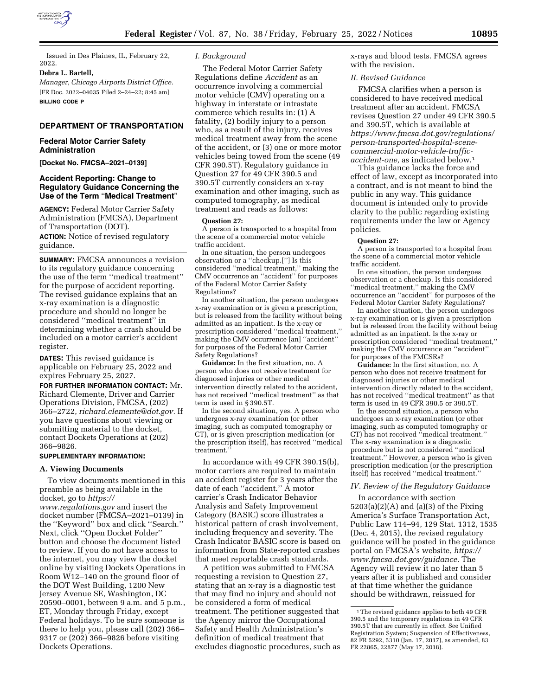

Issued in Des Plaines, IL, February 22, 2022.

## **Debra L. Bartell,**

*Manager, Chicago Airports District Office.*  [FR Doc. 2022–04035 Filed 2–24–22; 8:45 am] **BILLING CODE P** 

# **DEPARTMENT OF TRANSPORTATION**

### **Federal Motor Carrier Safety Administration**

**[Docket No. FMCSA–2021–0139]** 

### **Accident Reporting: Change to Regulatory Guidance Concerning the Use of the Term** ''**Medical Treatment**''

**AGENCY:** Federal Motor Carrier Safety Administration (FMCSA), Department of Transportation (DOT).

**ACTION:** Notice of revised regulatory guidance.

**SUMMARY:** FMCSA announces a revision to its regulatory guidance concerning the use of the term ''medical treatment'' for the purpose of accident reporting. The revised guidance explains that an x-ray examination is a diagnostic procedure and should no longer be considered ''medical treatment'' in determining whether a crash should be included on a motor carrier's accident register.

**DATES:** This revised guidance is applicable on February 25, 2022 and expires February 25, 2027.

**FOR FURTHER INFORMATION CONTACT:** Mr. Richard Clemente, Driver and Carrier Operations Division, FMCSA, (202) 366–2722, *[richard.clemente@dot.gov.](mailto:richard.clemente@dot.gov)* If you have questions about viewing or submitting material to the docket, contact Dockets Operations at (202) 366–9826.

# **SUPPLEMENTARY INFORMATION:**

#### **A. Viewing Documents**

To view documents mentioned in this preamble as being available in the docket, go to *[https://](https://www.regulations.gov) [www.regulations.gov](https://www.regulations.gov)* and insert the docket number (FMCSA–2021–0139) in the ''Keyword'' box and click ''Search.'' Next, click ''Open Docket Folder'' button and choose the document listed to review. If you do not have access to the internet, you may view the docket online by visiting Dockets Operations in Room W12–140 on the ground floor of the DOT West Building, 1200 New Jersey Avenue SE, Washington, DC 20590–0001, between 9 a.m. and 5 p.m., ET, Monday through Friday, except Federal holidays. To be sure someone is there to help you, please call (202) 366– 9317 or (202) 366–9826 before visiting Dockets Operations.

#### *I. Background*

The Federal Motor Carrier Safety Regulations define *Accident* as an occurrence involving a commercial motor vehicle (CMV) operating on a highway in interstate or intrastate commerce which results in: (1) A fatality, (2) bodily injury to a person who, as a result of the injury, receives medical treatment away from the scene of the accident, or (3) one or more motor vehicles being towed from the scene (49 CFR 390.5T). Regulatory guidance in Question 27 for 49 CFR 390.5 and 390.5T currently considers an x-ray examination and other imaging, such as computed tomography, as medical treatment and reads as follows:

#### **Question 27:**

A person is transported to a hospital from the scene of a commercial motor vehicle traffic accident.

In one situation, the person undergoes observation or a ''checkup.[''] Is this considered ''medical treatment,'' making the CMV occurrence an ''accident'' for purposes of the Federal Motor Carrier Safety Regulations?

In another situation, the person undergoes x-ray examination or is given a prescription, but is released from the facility without being admitted as an inpatient. Is the x-ray or prescription considered ''medical treatment,'' making the CMV occurrence [an] ''accident'' for purposes of the Federal Motor Carrier Safety Regulations?

**Guidance:** In the first situation, no. A person who does not receive treatment for diagnosed injuries or other medical intervention directly related to the accident, has not received ''medical treatment'' as that term is used in § 390.5T.

In the second situation, yes. A person who undergoes x-ray examination (or other imaging, such as computed tomography or CT), or is given prescription medication (or the prescription itself), has received ''medical treatment.''

In accordance with 49 CFR 390.15(b), motor carriers are required to maintain an accident register for 3 years after the date of each ''accident.'' A motor carrier's Crash Indicator Behavior Analysis and Safety Improvement Category (BASIC) score illustrates a historical pattern of crash involvement, including frequency and severity. The Crash Indicator BASIC score is based on information from State-reported crashes that meet reportable crash standards.

A petition was submitted to FMCSA requesting a revision to Question 27, stating that an x-ray is a diagnostic test that may find no injury and should not be considered a form of medical treatment. The petitioner suggested that the Agency mirror the Occupational Safety and Health Administration's definition of medical treatment that excludes diagnostic procedures, such as x-rays and blood tests. FMCSA agrees with the revision.

#### *II. Revised Guidance*

FMCSA clarifies when a person is considered to have received medical treatment after an accident. FMCSA revises Question 27 under 49 CFR 390.5 and 390.5T, which is available at *[https://www.fmcsa.dot.gov/regulations/](https://www.fmcsa.dot.gov/regulations/person-transported-hospital-scene-commercial-motor-vehicle-traffic-accident-one)  person-transported-hospital-scenecommercial-motor-vehicle-traffic[accident-one,](https://www.fmcsa.dot.gov/regulations/person-transported-hospital-scene-commercial-motor-vehicle-traffic-accident-one)* as indicated below.1

This guidance lacks the force and effect of law, except as incorporated into a contract, and is not meant to bind the public in any way. This guidance document is intended only to provide clarity to the public regarding existing requirements under the law or Agency policies.

#### **Question 27:**

A person is transported to a hospital from the scene of a commercial motor vehicle traffic accident.

In one situation, the person undergoes observation or a checkup. Is this considered ''medical treatment,'' making the CMV occurrence an ''accident'' for purposes of the Federal Motor Carrier Safety Regulations?

In another situation, the person undergoes x-ray examination or is given a prescription but is released from the facility without being admitted as an inpatient. Is the x-ray or prescription considered ''medical treatment,'' making the CMV occurrence an ''accident'' for purposes of the FMCSRs?

**Guidance:** In the first situation, no. A person who does not receive treatment for diagnosed injuries or other medical intervention directly related to the accident, has not received ''medical treatment'' as that term is used in 49 CFR 390.5 or 390.5T.

In the second situation, a person who undergoes an x-ray examination (or other imaging, such as computed tomography or CT) has not received ''medical treatment.'' The x-ray examination is a diagnostic procedure but is not considered ''medical treatment.'' However, a person who is given prescription medication (or the prescription itself) has received ''medical treatment.''

## *IV. Review of the Regulatory Guidance*

In accordance with section 5203(a)(2)(A) and (a)(3) of the Fixing America's Surface Transportation Act, Public Law 114–94, 129 Stat. 1312, 1535 (Dec. 4, 2015), the revised regulatory guidance will be posted in the guidance portal on FMCSA's website, *[https://](https://www.fmcsa.dot.gov/guidance) [www.fmcsa.dot.gov/guidance.](https://www.fmcsa.dot.gov/guidance)* The Agency will review it no later than 5 years after it is published and consider at that time whether the guidance should be withdrawn, reissued for

<sup>&</sup>lt;sup>1</sup>The revised guidance applies to both 49 CFR 390.5 and the temporary regulations in 49 CFR 390.5T that are currently in effect. See Unified Registration System; Suspension of Effectiveness, 82 FR 5292, 5310 (Jan. 17, 2017), as amended, 83 FR 22865, 22877 (May 17, 2018).